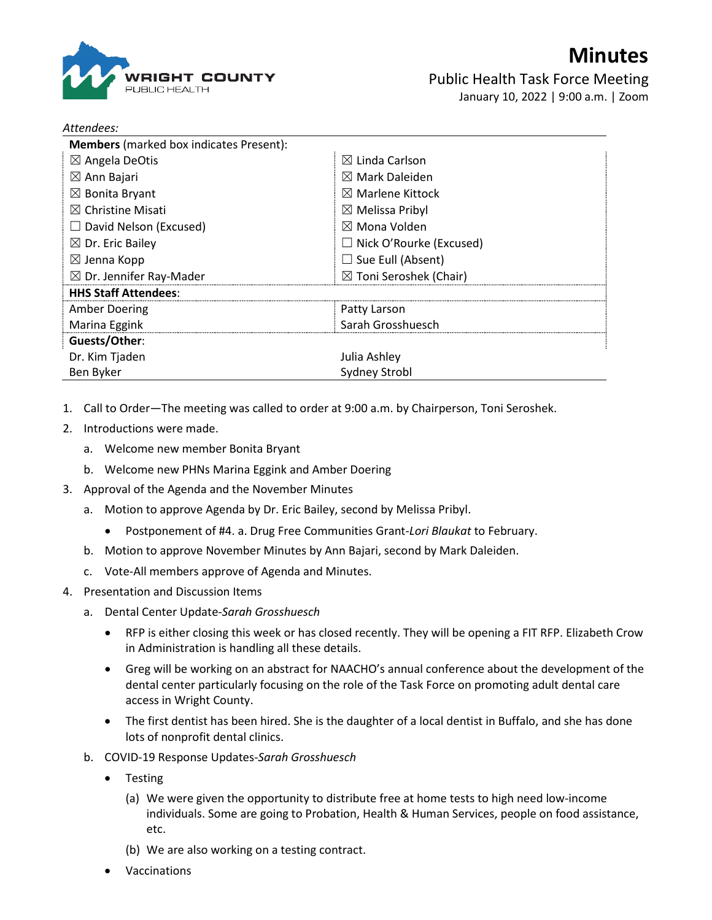

*Attendees:*

Public Health Task Force Meeting January 10, 2022 | 9:00 a.m. | Zoom

| <b>Members</b> (marked box indicates Present): |                                   |
|------------------------------------------------|-----------------------------------|
| $\boxtimes$ Angela DeOtis                      | $\boxtimes$ Linda Carlson         |
| $\boxtimes$ Ann Bajari                         | $\boxtimes$ Mark Daleiden         |
| $\boxtimes$ Bonita Bryant                      | $\boxtimes$ Marlene Kittock       |
| $\boxtimes$ Christine Misati                   | $\boxtimes$ Melissa Pribyl        |
| $\Box$ David Nelson (Excused)                  | $\boxtimes$ Mona Volden           |
| $\boxtimes$ Dr. Eric Bailey                    | $\Box$ Nick O'Rourke (Excused)    |
| $\boxtimes$ Jenna Kopp                         | $\Box$ Sue Eull (Absent)          |
| $\boxtimes$ Dr. Jennifer Ray-Mader             | $\boxtimes$ Toni Seroshek (Chair) |
| <b>HHS Staff Attendees:</b>                    |                                   |
| Amber Doering                                  | Patty Larson                      |
| Marina Eggink                                  | Sarah Grosshuesch                 |
| Guests/Other:                                  |                                   |
| Dr. Kim Tjaden                                 | Julia Ashley                      |
| Ben Byker                                      | <b>Sydney Strobl</b>              |

- 1. Call to Order—The meeting was called to order at 9:00 a.m. by Chairperson, Toni Seroshek.
- 2. Introductions were made.
	- a. Welcome new member Bonita Bryant
	- b. Welcome new PHNs Marina Eggink and Amber Doering
- 3. Approval of the Agenda and the November Minutes
	- a. Motion to approve Agenda by Dr. Eric Bailey, second by Melissa Pribyl.
		- Postponement of #4. a. Drug Free Communities Grant-*Lori Blaukat* to February.
	- b. Motion to approve November Minutes by Ann Bajari, second by Mark Daleiden.
	- c. Vote-All members approve of Agenda and Minutes.
- 4. Presentation and Discussion Items
	- a. Dental Center Update-*Sarah Grosshuesch*
		- RFP is either closing this week or has closed recently. They will be opening a FIT RFP. Elizabeth Crow in Administration is handling all these details.
		- Greg will be working on an abstract for NAACHO's annual conference about the development of the dental center particularly focusing on the role of the Task Force on promoting adult dental care access in Wright County.
		- The first dentist has been hired. She is the daughter of a local dentist in Buffalo, and she has done lots of nonprofit dental clinics.
	- b. COVID-19 Response Updates-*Sarah Grosshuesch*
		- Testing
			- (a) We were given the opportunity to distribute free at home tests to high need low-income individuals. Some are going to Probation, Health & Human Services, people on food assistance, etc.
			- (b) We are also working on a testing contract.
		- Vaccinations